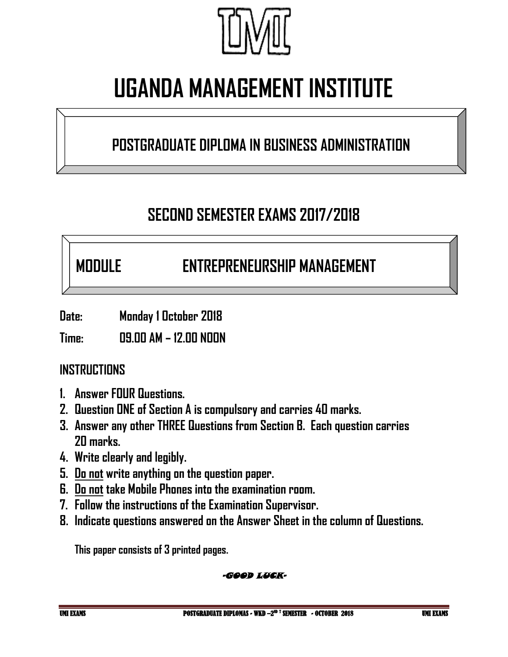

# **UGANDA MANAGEMENT INSTITUTE**

### **POSTGRADUATE DIPLOMA IN BUSINESS ADMINISTRATION**

## **SECOND SEMESTER EXAMS 2017/2018**

## **MODULE ENTREPRENEURSHIP MANAGEMENT**

**Date: Monday 1 October 2018**

**Time: 09.00 AM – 12.00 NOON**

### **INSTRUCTIONS**

- **1. Answer FOUR Questions.**
- **2. Question ONE of Section A is compulsory and carries 40 marks.**
- **3. Answer any other THREE Questions from Section B. Each question carries 20 marks.**
- **4. Write clearly and legibly.**
- **5. Do not write anything on the question paper.**
- **6. Do not take Mobile Phones into the examination room.**
- **7. Follow the instructions of the Examination Supervisor.**
- **8. Indicate questions answered on the Answer Sheet in the column of Questions.**

**This paper consists of 3 printed pages.**

#### -GOOD LUCK-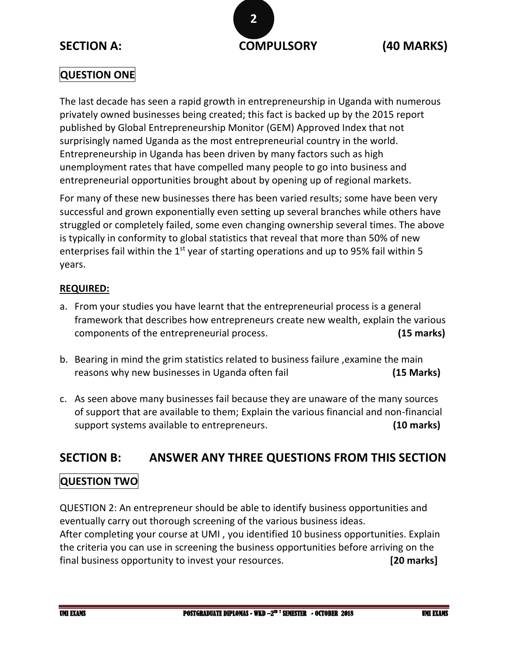

#### **QUESTION ONE**

The last decade has seen a rapid growth in entrepreneurship in Uganda with numerous privately owned businesses being created; this fact is backed up by the 2015 report published by Global Entrepreneurship Monitor (GEM) Approved Index that not surprisingly named Uganda as the most entrepreneurial country in the world. Entrepreneurship in Uganda has been driven by many factors such as high unemployment rates that have compelled many people to go into business and entrepreneurial opportunities brought about by opening up of regional markets.

For many of these new businesses there has been varied results; some have been very successful and grown exponentially even setting up several branches while others have struggled or completely failed, some even changing ownership several times. The above is typically in conformity to global statistics that reveal that more than 50% of new enterprises fail within the  $1<sup>st</sup>$  year of starting operations and up to 95% fail within 5 years.

#### **REQUIRED:**

- a. From your studies you have learnt that the entrepreneurial process is a general framework that describes how entrepreneurs create new wealth, explain the various components of the entrepreneurial process. **(15 marks)**
- b. Bearing in mind the grim statistics related to business failure ,examine the main reasons why new businesses in Uganda often fail **(15 Marks)**
- c. As seen above many businesses fail because they are unaware of the many sources of support that are available to them; Explain the various financial and non-financial support systems available to entrepreneurs. **(10 marks)**

#### **SECTION B: ANSWER ANY THREE QUESTIONS FROM THIS SECTION**

#### **QUESTION TWO**

QUESTION 2: An entrepreneur should be able to identify business opportunities and eventually carry out thorough screening of the various business ideas. After completing your course at UMI , you identified 10 business opportunities. Explain the criteria you can use in screening the business opportunities before arriving on the final business opportunity to invest your resources. **[20 marks]**